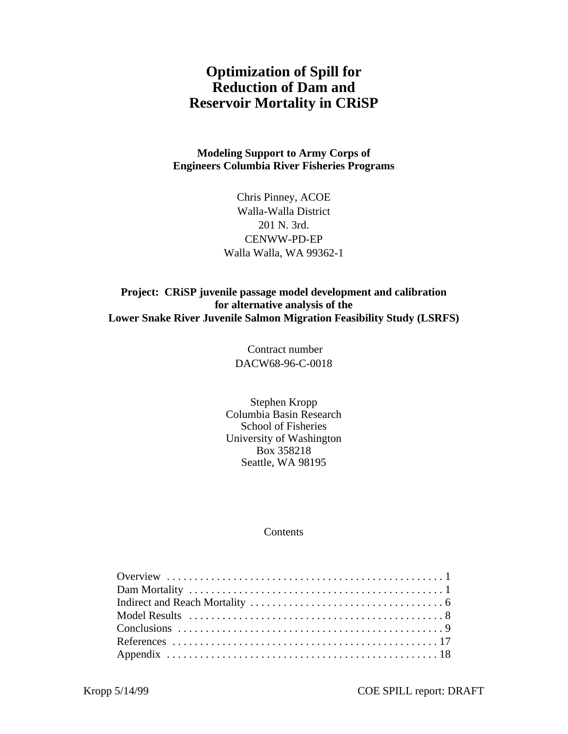# **Optimization of Spill for Reduction of Dam and Reservoir Mortality in CRiSP**

**Modeling Support to Army Corps of Engineers Columbia River Fisheries Programs**

> Chris Pinney, ACOE Walla-Walla District 201 N. 3rd. CENWW-PD-EP Walla Walla, WA 99362-1

**Project: CRiSP juvenile passage model development and calibration for alternative analysis of the Lower Snake River Juvenile Salmon Migration Feasibility Study (LSRFS)**

> Contract number DACW68-96-C-0018

Stephen Kropp Columbia Basin Research School of Fisheries University of Washington Box 358218 Seattle, WA 98195

#### Contents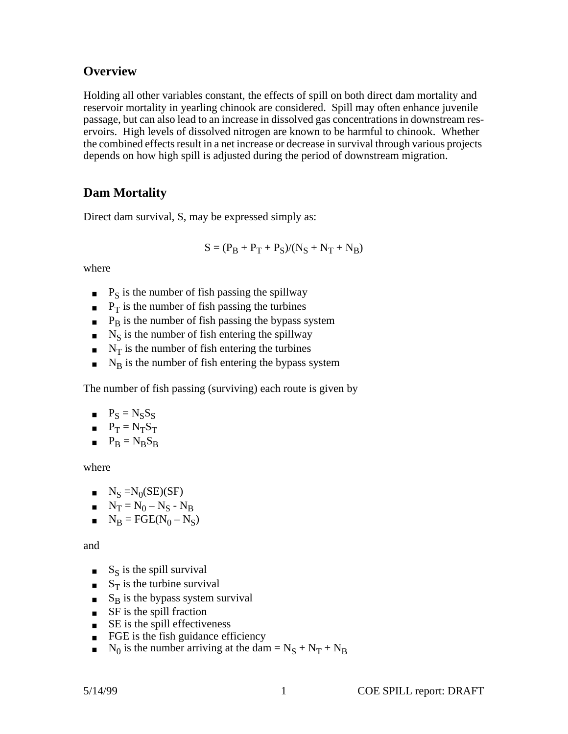## <span id="page-1-0"></span>**Overview**

Holding all other variables constant, the effects of spill on both direct dam mortality and reservoir mortality in yearling chinook are considered. Spill may often enhance juvenile passage, but can also lead to an increase in dissolved gas concentrations in downstream reservoirs. High levels of dissolved nitrogen are known to be harmful to chinook. Whether the combined effects result in a net increase or decrease in survival through various projects depends on how high spill is adjusted during the period of downstream migration.

## **Dam Mortality**

Direct dam survival, S, may be expressed simply as:

$$
S=(P_B+P_T+P_S)/(N_S+N_T+N_B)\,
$$

where

- $\blacksquare$  P<sub>S</sub> is the number of fish passing the spillway
- $\blacksquare$  P<sub>T</sub> is the number of fish passing the turbines
- $\blacksquare$  P<sub>B</sub> is the number of fish passing the bypass system
- $\blacksquare$  N<sub>S</sub> is the number of fish entering the spillway
- $\blacksquare$  N<sub>T</sub> is the number of fish entering the turbines
- $\blacksquare$  N<sub>B</sub> is the number of fish entering the bypass system

The number of fish passing (surviving) each route is given by

- $P_S = N_S S_S$
- $P_T = N_T S_T$
- $P_B = N_B S_B$

where

- $N_S = N_0(SE)(SF)$
- $N_T = N_0 N_S N_B$
- $N_B = FGE(N_0 N_S)$

and

- $S<sub>S</sub>$  is the spill survival
- $S_T$  is the turbine survival
- $S_B$  is the bypass system survival
- SF is the spill fraction
- $\blacksquare$  SE is the spill effectiveness
- FGE is the fish guidance efficiency
- $\blacksquare$  N<sub>0</sub> is the number arriving at the dam = N<sub>S</sub> + N<sub>T</sub> + N<sub>B</sub>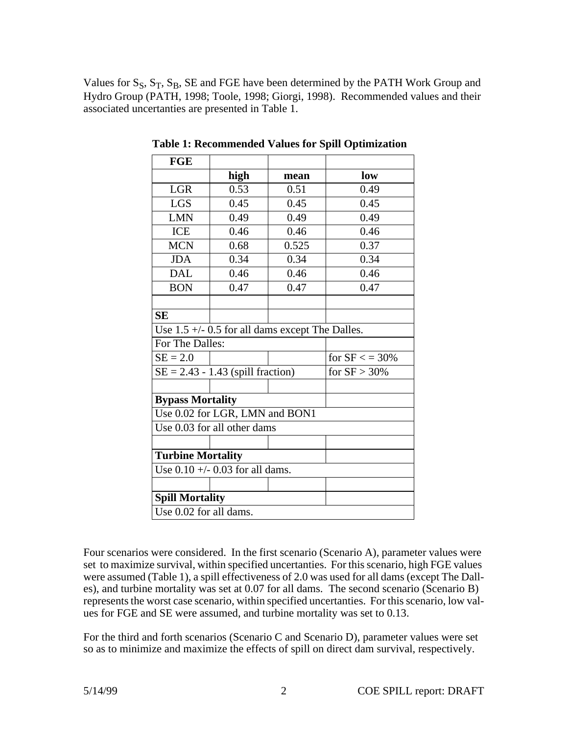Values for  $S_S$ ,  $S_T$ ,  $S_B$ , SE and FGE have been determined by the PATH Work Group and Hydro Group (PATH, 1998; Toole, 1998; Giorgi, 1998). Recommended values and their associated uncertanties are presented in Table 1.

| <b>FGE</b>                        |                                                        |       |                 |  |
|-----------------------------------|--------------------------------------------------------|-------|-----------------|--|
|                                   | high                                                   | mean  | low             |  |
| <b>LGR</b>                        | 0.53                                                   | 0.51  | 0.49            |  |
| <b>LGS</b>                        | 0.45                                                   | 0.45  | 0.45            |  |
| <b>LMN</b>                        | 0.49                                                   | 0.49  | 0.49            |  |
| <b>ICE</b>                        | 0.46                                                   | 0.46  | 0.46            |  |
| <b>MCN</b>                        | 0.68                                                   | 0.525 | 0.37            |  |
| <b>JDA</b>                        | 0.34                                                   | 0.34  | 0.34            |  |
| <b>DAL</b>                        | 0.46                                                   | 0.46  | 0.46            |  |
| <b>BON</b>                        | 0.47                                                   | 0.47  | 0.47            |  |
|                                   |                                                        |       |                 |  |
| <b>SE</b>                         |                                                        |       |                 |  |
|                                   | Use $1.5 +$ $\div$ 0.5 for all dams except The Dalles. |       |                 |  |
| For The Dalles:                   |                                                        |       |                 |  |
| $SE = 2.0$                        |                                                        |       | for $SF < 30\%$ |  |
|                                   | $SE = 2.43 - 1.43$ (spill fraction)                    |       | for $SF > 30\%$ |  |
|                                   |                                                        |       |                 |  |
| <b>Bypass Mortality</b>           |                                                        |       |                 |  |
|                                   | Use 0.02 for LGR, LMN and BON1                         |       |                 |  |
|                                   | Use 0.03 for all other dams                            |       |                 |  |
|                                   |                                                        |       |                 |  |
| <b>Turbine Mortality</b>          |                                                        |       |                 |  |
| Use $0.10 +/- 0.03$ for all dams. |                                                        |       |                 |  |
|                                   |                                                        |       |                 |  |
| <b>Spill Mortality</b>            |                                                        |       |                 |  |
| Use 0.02 for all dams.            |                                                        |       |                 |  |

**Table 1: Recommended Values for Spill Optimization**

Four scenarios were considered. In the first scenario (Scenario A), parameter values were set to maximize survival, within specified uncertanties. For this scenario, high FGE values were assumed (Table 1), a spill effectiveness of 2.0 was used for all dams (except The Dalles), and turbine mortality was set at 0.07 for all dams. The second scenario (Scenario B) represents the worst case scenario, within specified uncertanties. For this scenario, low values for FGE and SE were assumed, and turbine mortality was set to 0.13.

For the third and forth scenarios (Scenario C and Scenario D), parameter values were set so as to minimize and maximize the effects of spill on direct dam survival, respectively.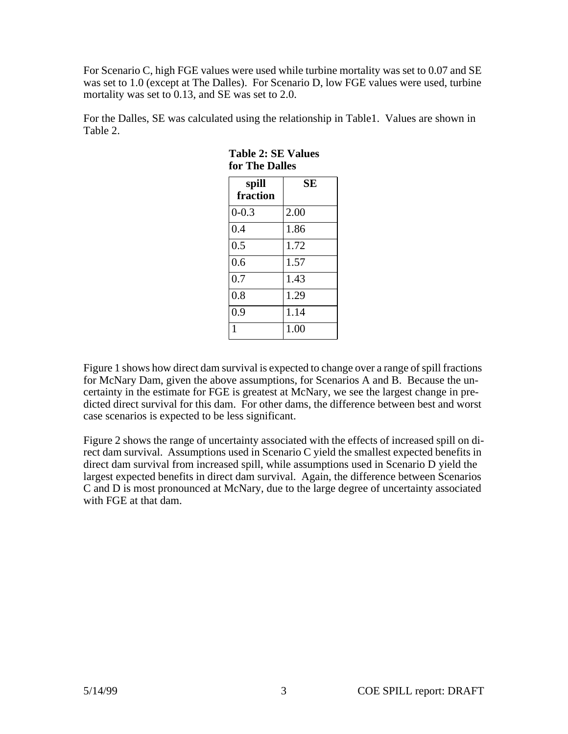For Scenario C, high FGE values were used while turbine mortality was set to 0.07 and SE was set to 1.0 (except at The Dalles). For Scenario D, low FGE values were used, turbine mortality was set to 0.13, and SE was set to 2.0.

For the Dalles, SE was calculated using the relationship in Table1. Values are shown in Table 2.

| spill<br>fraction | SЕ   |
|-------------------|------|
| $0 - 0.3$         | 2.00 |
| 0.4               | 1.86 |
| 0.5               | 1.72 |
| 0.6               | 1.57 |
| 0.7               | 1.43 |
| 0.8               | 1.29 |
| 0.9               | 1.14 |
| 1                 | 1.00 |

#### **Table 2: SE Values for The Dalles**

Figure 1 shows how direct dam survival is expected to change over a range of spill fractions for McNary Dam, given the above assumptions, for Scenarios A and B. Because the uncertainty in the estimate for FGE is greatest at McNary, we see the largest change in predicted direct survival for this dam. For other dams, the difference between best and worst case scenarios is expected to be less significant.

Figure 2 shows the range of uncertainty associated with the effects of increased spill on direct dam survival. Assumptions used in Scenario C yield the smallest expected benefits in direct dam survival from increased spill, while assumptions used in Scenario D yield the largest expected benefits in direct dam survival. Again, the difference between Scenarios C and D is most pronounced at McNary, due to the large degree of uncertainty associated with FGE at that dam.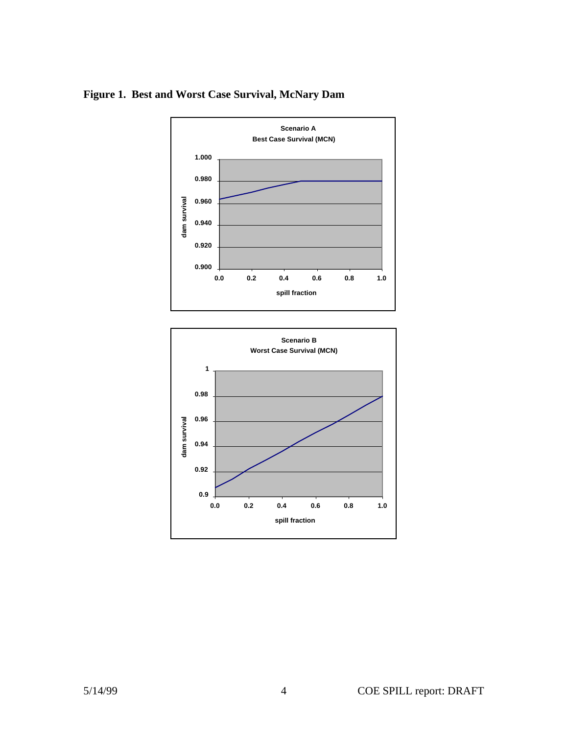

## **Figure 1. Best and Worst Case Survival, McNary Dam**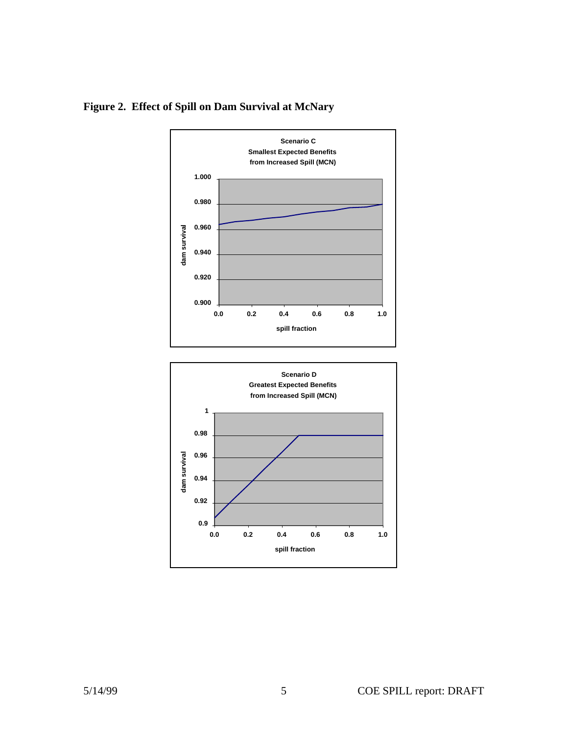

<span id="page-5-0"></span>**Figure 2. Effect of Spill on Dam Survival at McNary**

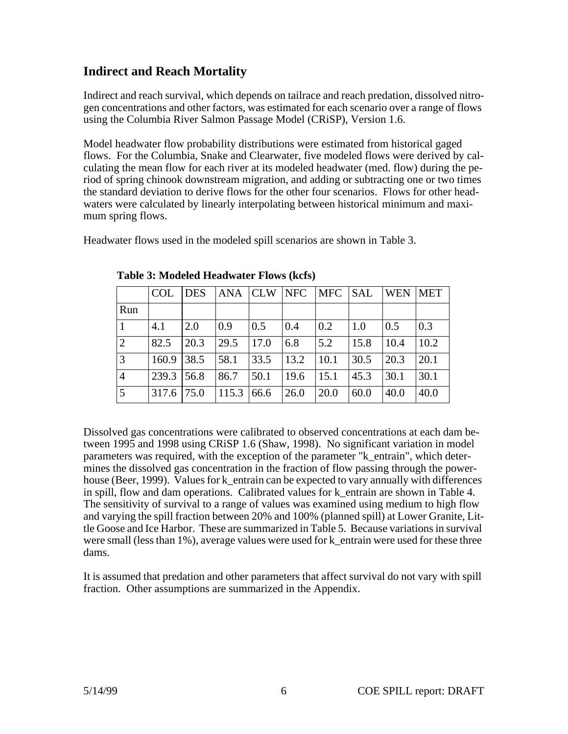# **Indirect and Reach Mortality**

Indirect and reach survival, which depends on tailrace and reach predation, dissolved nitrogen concentrations and other factors, was estimated for each scenario over a range of flows using the Columbia River Salmon Passage Model (CRiSP), Version 1.6.

Model headwater flow probability distributions were estimated from historical gaged flows. For the Columbia, Snake and Clearwater, five modeled flows were derived by calculating the mean flow for each river at its modeled headwater (med. flow) during the period of spring chinook downstream migration, and adding or subtracting one or two times the standard deviation to derive flows for the other four scenarios. Flows for other headwaters were calculated by linearly interpolating between historical minimum and maximum spring flows.

Headwater flows used in the modeled spill scenarios are shown in Table 3.

|                 | <b>COL</b> | <b>DES</b> | ANA CLW |                   | NFC  | MFC                | <b>SAL</b> | <b>WEN</b> | <b>MET</b>       |
|-----------------|------------|------------|---------|-------------------|------|--------------------|------------|------------|------------------|
| Run             |            |            |         |                   |      |                    |            |            |                  |
|                 | 4.1        | 2.0        | 0.9     | $\vert 0.5 \vert$ | 0.4  | $\overline{0.2}$   | 1.0        | 0.5        | $\overline{0.3}$ |
| $\overline{2}$  | 82.5       | 20.3       | 29.5    | $\vert$ 17.0      | 6.8  | 5.2                | 15.8       | 10.4       | 10.2             |
| $\vert 3 \vert$ | 160.9      | 38.5       | 58.1    | 33.5              | 13.2 | $\vert 10.1 \vert$ | 30.5       | 20.3       | 20.1             |
| $\overline{4}$  | 1239.3     | 156.8      | 86.7    | 50.1              | 19.6 | 15.1               | 45.3       | 30.1       | 30.1             |
| $\overline{5}$  | 317.6      | 75.0       | 115.3   | 66.6              | 26.0 | 20.0               | 60.0       | 40.0       | 40.0             |

**Table 3: Modeled Headwater Flows (kcfs)**

Dissolved gas concentrations were calibrated to observed concentrations at each dam between 1995 and 1998 using CRiSP 1.6 (Shaw, 1998). No significant variation in model parameters was required, with the exception of the parameter "k\_entrain", which determines the dissolved gas concentration in the fraction of flow passing through the powerhouse (Beer, 1999). Values for k entrain can be expected to vary annually with differences in spill, flow and dam operations. Calibrated values for k\_entrain are shown in Table 4. The sensitivity of survival to a range of values was examined using medium to high flow and varying the spill fraction between 20% and 100% (planned spill) at Lower Granite, Little Goose and Ice Harbor. These are summarized in [Table 5.](#page-8-0) Because variations in survival were small (less than 1%), average values were used for k\_entrain were used for these three dams.

It is assumed that predation and other parameters that affect survival do not vary with spill fraction. Other assumptions are summarized in the Appendix.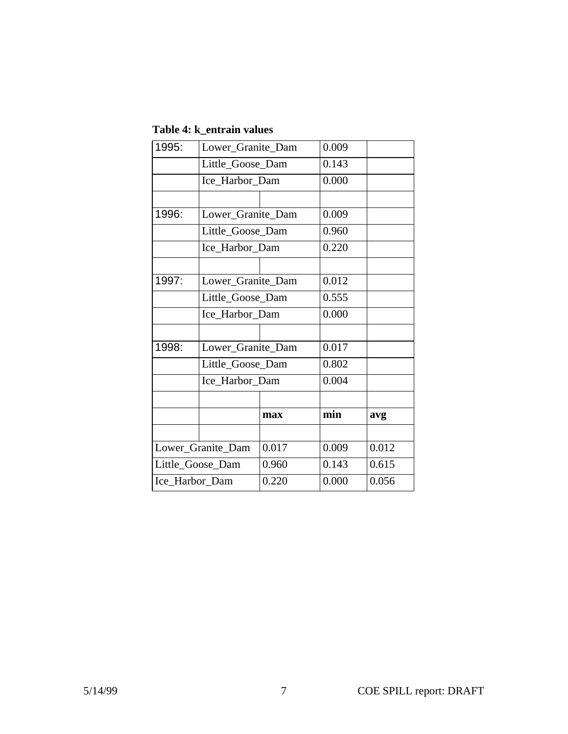| Table 4: k entrain values |  |  |
|---------------------------|--|--|
|---------------------------|--|--|

| 1995:            | Lower_Granite_Dam |       | 0.009 |       |
|------------------|-------------------|-------|-------|-------|
|                  | Little_Goose_Dam  |       | 0.143 |       |
|                  | Ice_Harbor_Dam    |       | 0.000 |       |
|                  |                   |       |       |       |
| 1996:            | Lower_Granite_Dam |       | 0.009 |       |
|                  | Little Goose Dam  |       | 0.960 |       |
|                  | Ice Harbor Dam    |       | 0.220 |       |
|                  |                   |       |       |       |
| 1997:            | Lower_Granite_Dam |       | 0.012 |       |
|                  | Little_Goose_Dam  |       | 0.555 |       |
|                  | Ice_Harbor_Dam    |       | 0.000 |       |
|                  |                   |       |       |       |
| 1998:            | Lower_Granite_Dam |       | 0.017 |       |
|                  | Little_Goose_Dam  |       | 0.802 |       |
|                  | Ice Harbor Dam    |       | 0.004 |       |
|                  |                   |       |       |       |
|                  | max               |       | min   | avg   |
|                  |                   |       |       |       |
|                  | Lower_Granite_Dam | 0.017 | 0.009 | 0.012 |
| Little Goose Dam |                   | 0.960 | 0.143 | 0.615 |
| Ice_Harbor_Dam   |                   | 0.220 | 0.000 | 0.056 |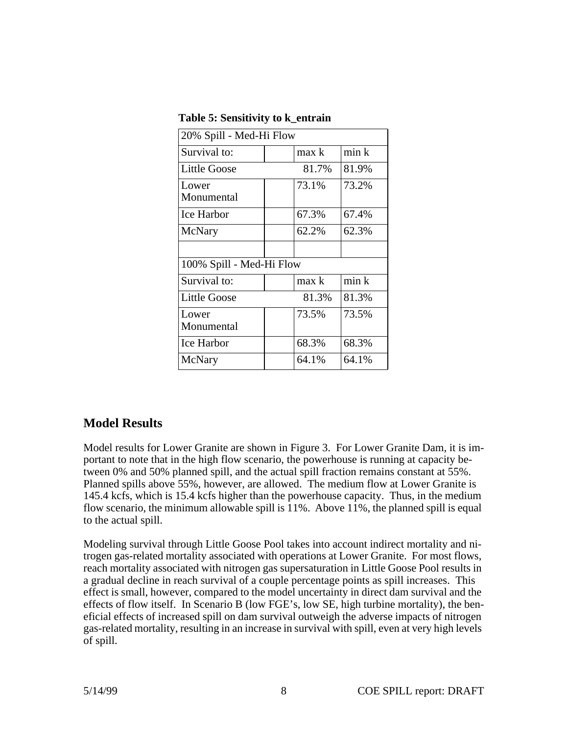| 20% Spill - Med-Hi Flow  |       |       |  |  |  |  |
|--------------------------|-------|-------|--|--|--|--|
| Survival to:             | max k | min k |  |  |  |  |
| Little Goose             | 81.7% | 81.9% |  |  |  |  |
| Lower                    | 73.1% | 73.2% |  |  |  |  |
| Monumental               |       |       |  |  |  |  |
| Ice Harbor               | 67.3% | 67.4% |  |  |  |  |
| McNary                   | 62.2% | 62.3% |  |  |  |  |
|                          |       |       |  |  |  |  |
| 100% Spill - Med-Hi Flow |       |       |  |  |  |  |
| Survival to:             | max k | min k |  |  |  |  |
| <b>Little Goose</b>      | 81.3% | 81.3% |  |  |  |  |
| Lower                    | 73.5% | 73.5% |  |  |  |  |
| Monumental               |       |       |  |  |  |  |
| Ice Harbor               | 68.3% | 68.3% |  |  |  |  |
| McNary                   | 64.1% | 64.1% |  |  |  |  |

<span id="page-8-0"></span>**Table 5: Sensitivity to k\_entrain**

## **Model Results**

Model results for Lower Granite are shown in Figure 3. For Lower Granite Dam, it is important to note that in the high flow scenario, the powerhouse is running at capacity between 0% and 50% planned spill, and the actual spill fraction remains constant at 55%. Planned spills above 55%, however, are allowed. The medium flow at Lower Granite is 145.4 kcfs, which is 15.4 kcfs higher than the powerhouse capacity. Thus, in the medium flow scenario, the minimum allowable spill is 11%. Above 11%, the planned spill is equal to the actual spill.

Modeling survival through Little Goose Pool takes into account indirect mortality and nitrogen gas-related mortality associated with operations at Lower Granite. For most flows, reach mortality associated with nitrogen gas supersaturation in Little Goose Pool results in a gradual decline in reach survival of a couple percentage points as spill increases. This effect is small, however, compared to the model uncertainty in direct dam survival and the effects of flow itself. In Scenario B (low FGE's, low SE, high turbine mortality), the beneficial effects of increased spill on dam survival outweigh the adverse impacts of nitrogen gas-related mortality, resulting in an increase in survival with spill, even at very high levels of spill.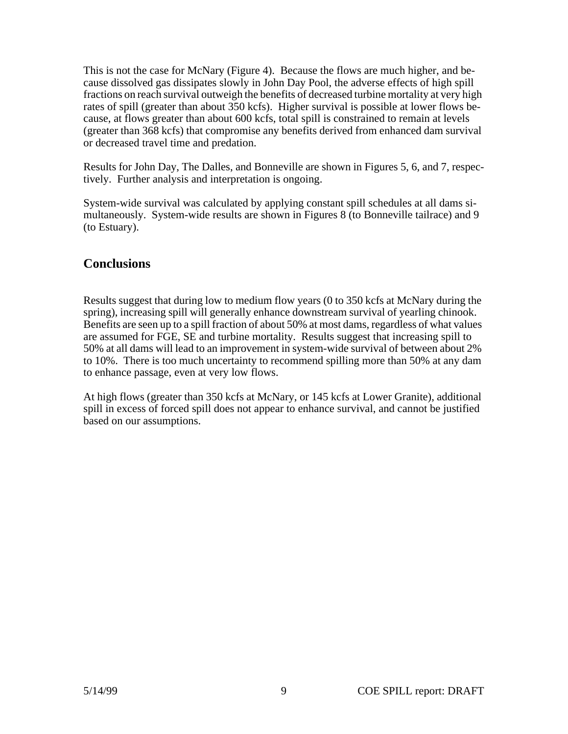<span id="page-9-0"></span>This is not the case for McNary (Figure 4). Because the flows are much higher, and because dissolved gas dissipates slowly in John Day Pool, the adverse effects of high spill fractions on reach survival outweigh the benefits of decreased turbine mortality at very high rates of spill (greater than about 350 kcfs). Higher survival is possible at lower flows because, at flows greater than about 600 kcfs, total spill is constrained to remain at levels (greater than 368 kcfs) that compromise any benefits derived from enhanced dam survival or decreased travel time and predation.

Results for John Day, The Dalles, and Bonneville are shown in Figures 5, 6, and 7, respectively. Further analysis and interpretation is ongoing.

System-wide survival was calculated by applying constant spill schedules at all dams simultaneously. System-wide results are shown in Figures 8 (to Bonneville tailrace) and 9 (to Estuary).

## **Conclusions**

Results suggest that during low to medium flow years (0 to 350 kcfs at McNary during the spring), increasing spill will generally enhance downstream survival of yearling chinook. Benefits are seen up to a spill fraction of about 50% at most dams, regardless of what values are assumed for FGE, SE and turbine mortality. Results suggest that increasing spill to 50% at all dams will lead to an improvement in system-wide survival of between about 2% to 10%. There is too much uncertainty to recommend spilling more than 50% at any dam to enhance passage, even at very low flows.

At high flows (greater than 350 kcfs at McNary, or 145 kcfs at Lower Granite), additional spill in excess of forced spill does not appear to enhance survival, and cannot be justified based on our assumptions.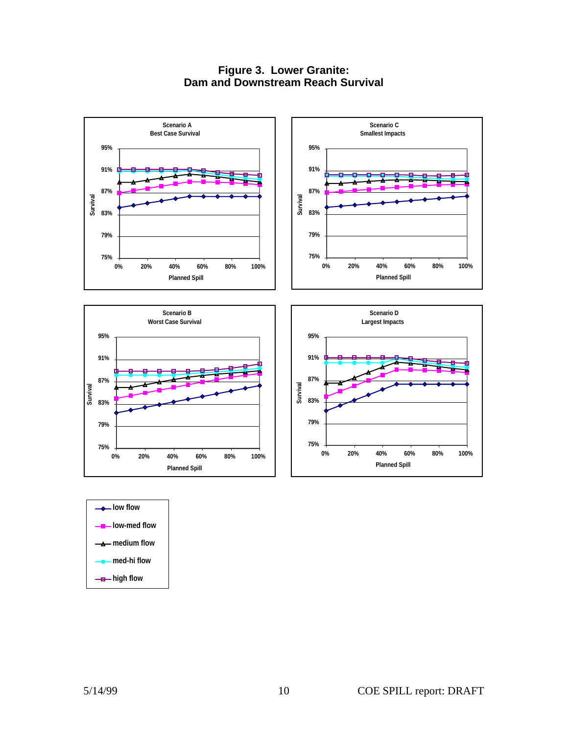#### **Figure 3. Lower Granite: Dam and Downstream Reach Survival**



| low flow—                     |
|-------------------------------|
| ——— low-med flow              |
| $\longrightarrow$ medium flow |
| ▲ med-hi flow                 |
| — <del>a</del> — high flow    |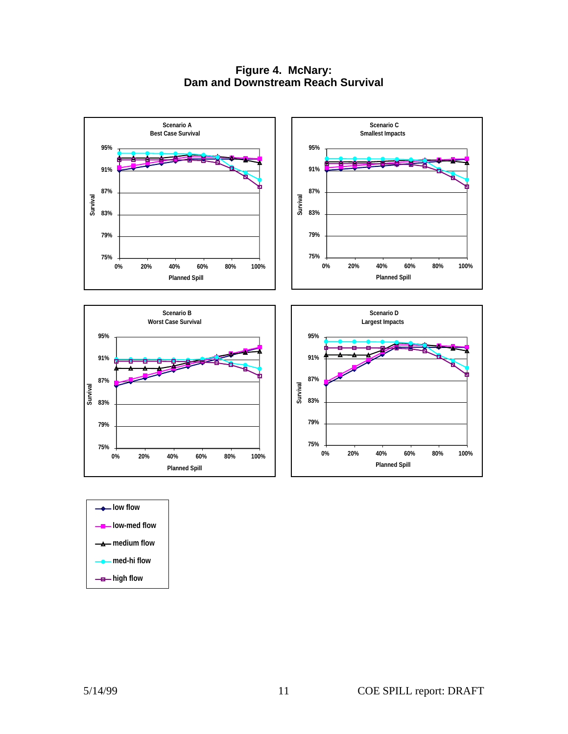**Figure 4. McNary: Dam and Downstream Reach Survival**



**low-med flow medium flow med-hi flow -B**-high flow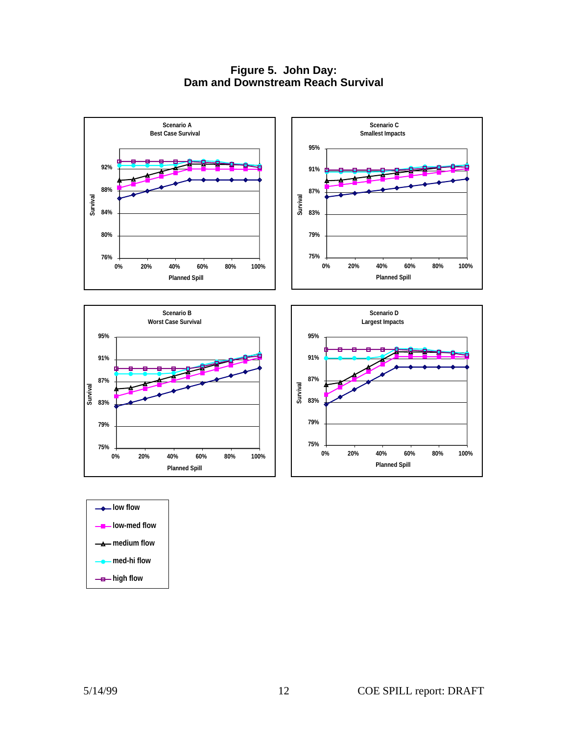**Figure 5. John Day: Dam and Downstream Reach Survival**



| $\rightharpoonup$ low flow    |
|-------------------------------|
| $\frac{1}{2}$ low-med flow    |
| $\longrightarrow$ medium flow |
| <u>_e_</u> med-hi flow        |
| — <del>a</del> — high flow    |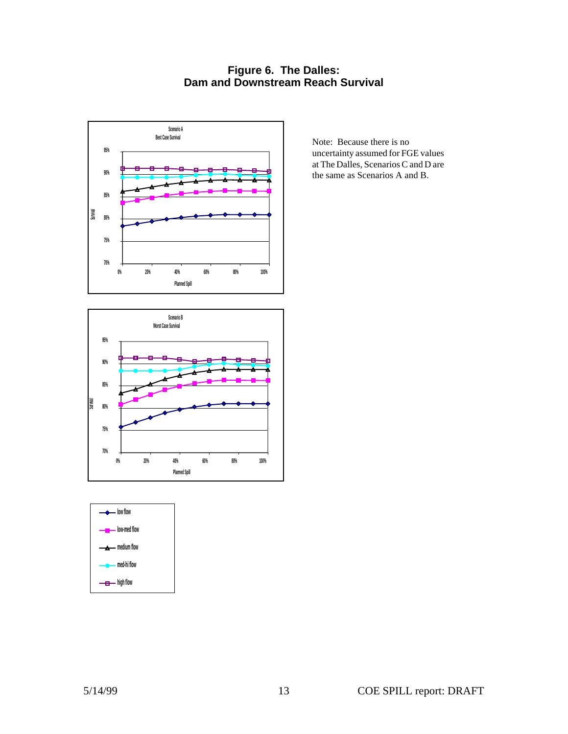#### **Figure 6. The Dalles: Dam and Downstream Reach Survival**



Note: Because there is no uncertainty assumed for FGE values at The Dalles, Scenarios C and D are the same as Scenarios A and B.



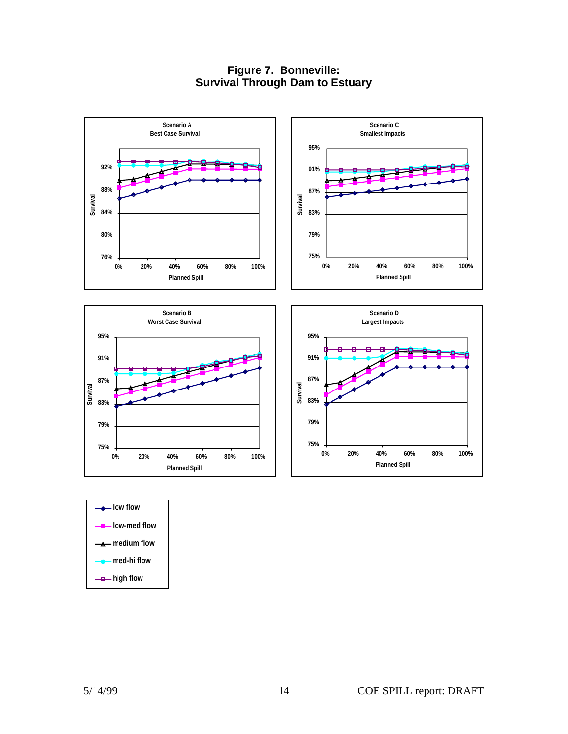#### **Figure 7. Bonneville: Survival Through Dam to Estuary**



| <u>__</u> __low-med flow      |
|-------------------------------|
| ——— medium flow               |
| $\rightharpoonup$ med-hi flow |
| — <del>a</del> — high flow    |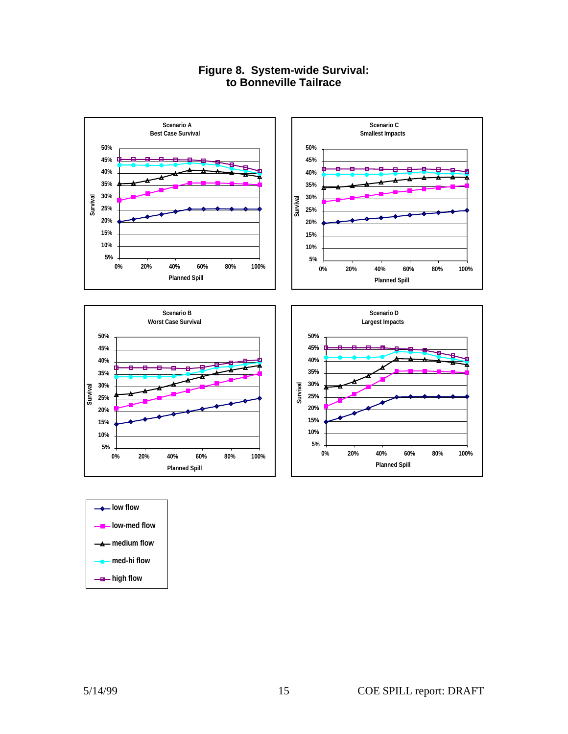

### **Figure 8. System-wide Survival: to Bonneville Tailrace**





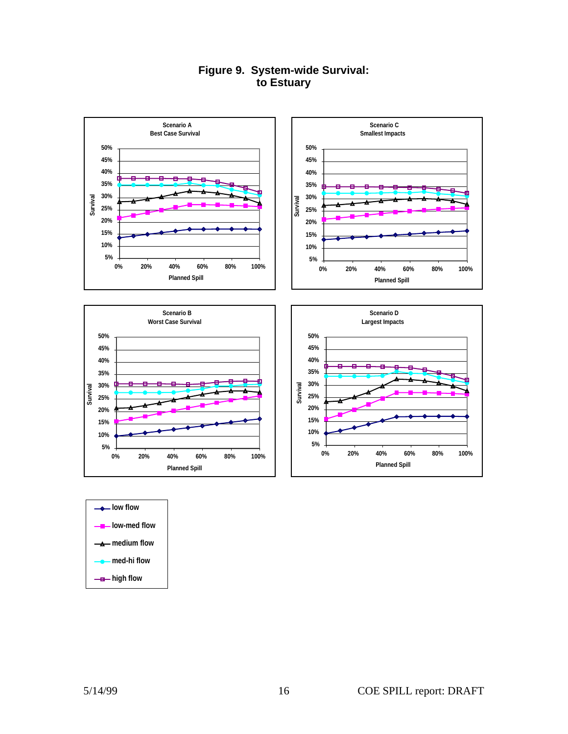









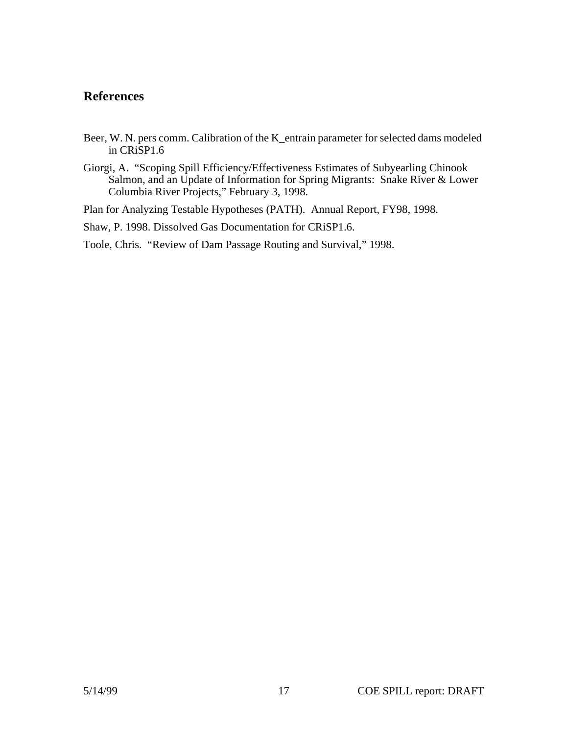## <span id="page-17-0"></span>**References**

- Beer, W. N. pers comm. Calibration of the K\_entrain parameter for selected dams modeled in CRiSP1.6
- Giorgi, A. "Scoping Spill Efficiency/Effectiveness Estimates of Subyearling Chinook Salmon, and an Update of Information for Spring Migrants: Snake River & Lower Columbia River Projects," February 3, 1998.

Plan for Analyzing Testable Hypotheses (PATH). Annual Report, FY98, 1998.

Shaw, P. 1998. Dissolved Gas Documentation for CRiSP1.6.

Toole, Chris. "Review of Dam Passage Routing and Survival," 1998.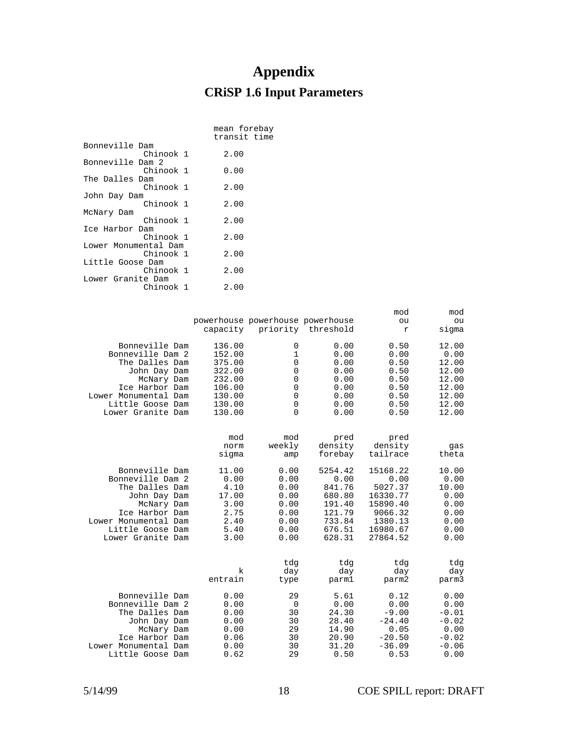# **Appendix CRiSP 1.6 Input Parameters**

<span id="page-18-0"></span>

|                      | mean forebay<br>transit time |
|----------------------|------------------------------|
| Bonneville Dam       |                              |
| Chinook 1            | 2.00                         |
| Bonneville Dam 2     |                              |
| Chinook 1            | 0.00                         |
| The Dalles Dam       |                              |
| Chinook 1            | 2.00                         |
| John Day Dam         |                              |
| Chinook 1            | 2.00                         |
| McNary Dam           |                              |
| Chinook 1            | 2.00                         |
| Ice Harbor Dam       |                              |
| Chinook 1            | 2.00                         |
| Lower Monumental Dam |                              |
| Chinook 1            | 2.00                         |
| Little Goose Dam     |                              |
| Chinook 1            | 2.00                         |
| Lower Granite Dam    |                              |
| Chinook 1            | 2.00                         |
|                      |                              |

|                      | capacity             | powerhouse powerhouse powerhouse | priority threshold         | mod<br>ou<br>r              | mod<br>ou<br>sigma  |
|----------------------|----------------------|----------------------------------|----------------------------|-----------------------------|---------------------|
| Bonneville Dam       | 136.00               | 0                                | 0.00                       | 0.50                        | 12.00               |
| Bonneville Dam 2     | 152.00               | 1                                | 0.00                       | 0.00                        | 0.00                |
| The Dalles Dam       | 375.00               | 0                                | 0.00                       | 0.50                        | 12.00               |
| John Day Dam         | 322.00               | 0                                | 0.00                       | 0.50                        | 12.00               |
| McNary Dam           | 232.00               | 0                                | 0.00                       | 0.50                        | 12.00               |
| Ice Harbor Dam       | 106.00               | 0                                | 0.00                       | 0.50                        | 12.00               |
| Lower Monumental Dam | 130.00               | 0                                | 0.00                       | 0.50                        | 12.00               |
| Little Goose Dam     | 130.00               | 0                                | 0.00                       | 0.50                        | 12.00               |
| Lower Granite Dam    | 130.00               | $\Omega$                         | 0.00                       | 0.50                        | 12.00               |
|                      | mod<br>norm<br>sigma | mod<br>weekly<br>amp             | pred<br>density<br>forebay | pred<br>density<br>tailrace | qas<br>theta        |
| Bonneville Dam       | 11.00                | 0.00                             | 5254.42                    | 15168.22                    | 10.00               |
| Bonneville Dam 2     | 0.00                 | 0.00                             | 0.00                       | 0.00                        | 0.00                |
| The Dalles Dam       | 4.10                 | 0.00                             | 841.76                     | 5027.37                     | 10.00               |
| John Day Dam         | 17.00                | 0.00                             | 680.80                     | 16330.77                    | 0.00                |
| McNary Dam           | 3.00                 | 0.00                             | 191.40                     | 15890.40                    | 0.00                |
| Ice Harbor Dam       | 2.75                 | 0.00                             | 121.79                     | 9066.32                     | 0.00                |
| Lower Monumental Dam | 2.40                 | 0.00                             | 733.84                     | 1380.13                     | 0.00                |
| Little Goose Dam     | 5.40                 | 0.00                             | 676.51                     | 16980.67                    | 0.00                |
| Lower Granite Dam    | 3.00                 | 0.00                             | 628.31                     | 27864.52                    | 0.00                |
|                      | k<br>entrain         | tdg<br>day<br>type               | tdg<br>day<br>parm1        | tdg<br>day<br>parm2         | tdg<br>day<br>parm3 |
| Bonneville Dam       | 0.00                 | 29                               | 5.61                       | 0.12                        | 0.00                |
| Bonneville Dam 2     | 0.00                 | 0                                | 0.00                       | 0.00                        | 0.00                |
| The Dalles Dam       | 0.00                 | 30                               | 24.30                      | $-9.00$                     | $-0.01$             |
| John Day Dam         | 0.00                 | 30                               | 28.40                      | $-24.40$                    | $-0.02$             |
| McNary Dam           | 0.00                 | 29                               | 14.90                      | 0.05                        | 0.00                |
| Ice Harbor Dam       | 0.06                 | 30                               | 20.90                      | $-20.50$                    | $-0.02$             |
| Lower Monumental Dam | 0.00                 | 30                               | 31.20                      | $-36.09$                    | $-0.06$             |
| Little Goose Dam     | 0.62                 | 29                               | 0.50                       | 0.53                        | 0.00                |